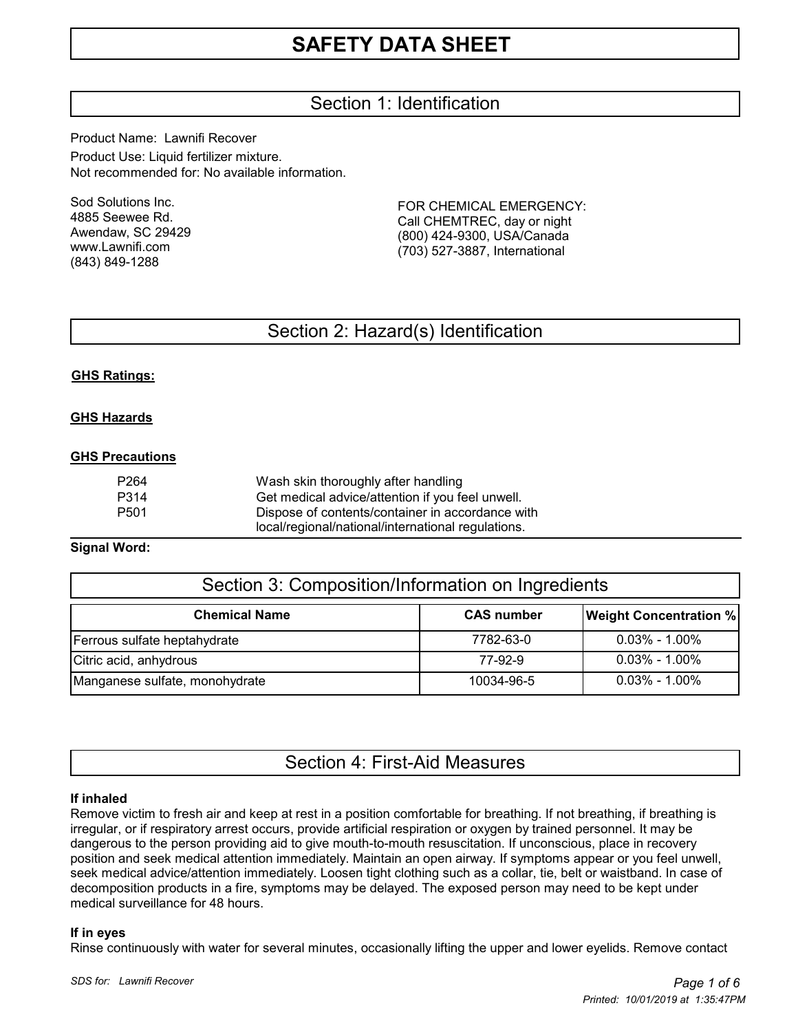# Section 1: Identification

Product Name: Lawnifi Recover Product Use: Liquid fertilizer mixture. Not recommended for: No available information.

Sod Solutions Inc. 4885 Seewee Rd. Awendaw, SC 29429 www.Lawnifi.com (843) 849-1288

FOR CHEMICAL EMERGENCY: Call CHEMTREC, day or night (800) 424-9300, USA/Canada (703) 527-3887, International

# Section 2: Hazard(s) Identification

## **GHS Ratings:**

#### **GHS Hazards**

#### **GHS Precautions**

| P <sub>264</sub> | Wash skin thoroughly after handling                |
|------------------|----------------------------------------------------|
| P314             | Get medical advice/attention if you feel unwell.   |
| P <sub>501</sub> | Dispose of contents/container in accordance with   |
|                  | local/regional/national/international regulations. |

#### **Signal Word:**

| Section 3: Composition/Information on Ingredients |                   |                               |  |  |
|---------------------------------------------------|-------------------|-------------------------------|--|--|
| <b>Chemical Name</b>                              | <b>CAS number</b> | <b>Weight Concentration %</b> |  |  |
| Ferrous sulfate heptahydrate                      | 7782-63-0         | $0.03\% - 1.00\%$             |  |  |
| Citric acid, anhydrous                            | 77-92-9           | $0.03\% - 1.00\%$             |  |  |
| Manganese sulfate, monohydrate                    | 10034-96-5        | $0.03\% - 1.00\%$             |  |  |

## Section 4: First-Aid Measures

#### **If inhaled**

Remove victim to fresh air and keep at rest in a position comfortable for breathing. If not breathing, if breathing is irregular, or if respiratory arrest occurs, provide artificial respiration or oxygen by trained personnel. It may be dangerous to the person providing aid to give mouth-to-mouth resuscitation. If unconscious, place in recovery position and seek medical attention immediately. Maintain an open airway. If symptoms appear or you feel unwell, seek medical advice/attention immediately. Loosen tight clothing such as a collar, tie, belt or waistband. In case of decomposition products in a fire, symptoms may be delayed. The exposed person may need to be kept under medical surveillance for 48 hours.

#### **If in eyes**

Rinse continuously with water for several minutes, occasionally lifting the upper and lower eyelids. Remove contact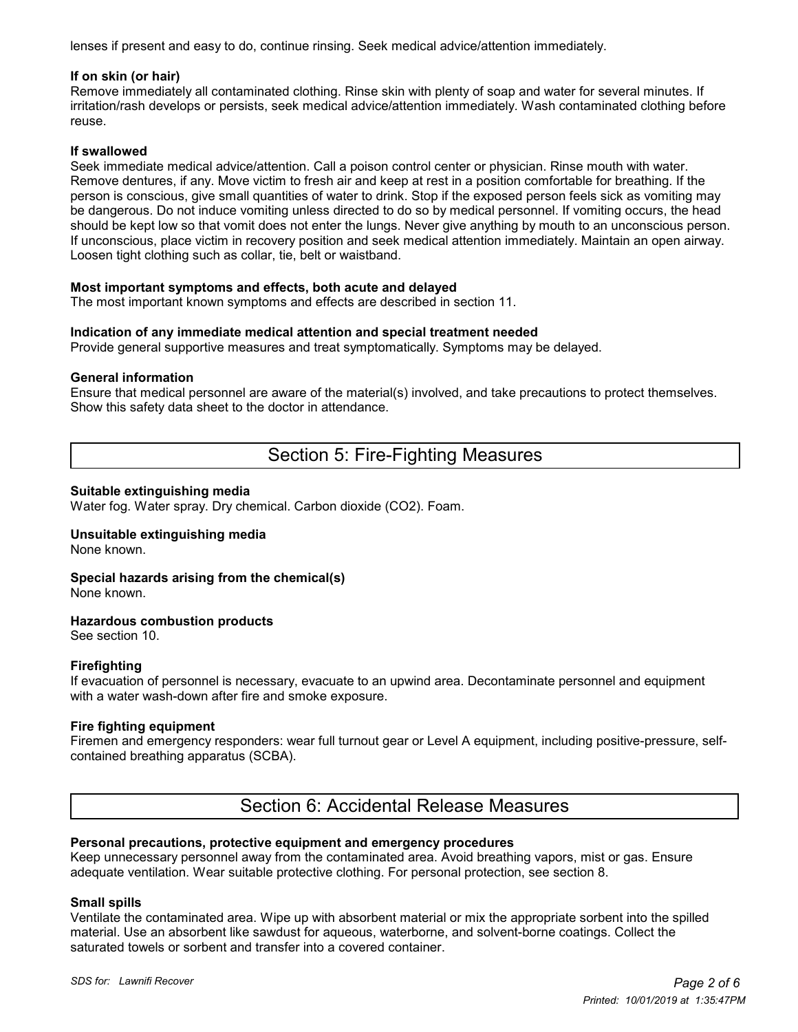lenses if present and easy to do, continue rinsing. Seek medical advice/attention immediately.

#### **If on skin (or hair)**

Remove immediately all contaminated clothing. Rinse skin with plenty of soap and water for several minutes. If irritation/rash develops or persists, seek medical advice/attention immediately. Wash contaminated clothing before reuse.

## **If swallowed**

Seek immediate medical advice/attention. Call a poison control center or physician. Rinse mouth with water. Remove dentures, if any. Move victim to fresh air and keep at rest in a position comfortable for breathing. If the person is conscious, give small quantities of water to drink. Stop if the exposed person feels sick as vomiting may be dangerous. Do not induce vomiting unless directed to do so by medical personnel. If vomiting occurs, the head should be kept low so that vomit does not enter the lungs. Never give anything by mouth to an unconscious person. If unconscious, place victim in recovery position and seek medical attention immediately. Maintain an open airway. Loosen tight clothing such as collar, tie, belt or waistband.

#### **Most important symptoms and effects, both acute and delayed**

The most important known symptoms and effects are described in section 11.

#### **Indication of any immediate medical attention and special treatment needed**

Provide general supportive measures and treat symptomatically. Symptoms may be delayed.

#### **General information**

Ensure that medical personnel are aware of the material(s) involved, and take precautions to protect themselves. Show this safety data sheet to the doctor in attendance.

# Section 5: Fire-Fighting Measures

#### **Suitable extinguishing media**

Water fog. Water spray. Dry chemical. Carbon dioxide (CO2). Foam.

#### **Unsuitable extinguishing media**

None known.

## **Special hazards arising from the chemical(s)**

None known.

#### **Hazardous combustion products**

See section 10.

#### **Firefighting**

If evacuation of personnel is necessary, evacuate to an upwind area. Decontaminate personnel and equipment with a water wash-down after fire and smoke exposure.

## **Fire fighting equipment**

Firemen and emergency responders: wear full turnout gear or Level A equipment, including positive-pressure, selfcontained breathing apparatus (SCBA).

## Section 6: Accidental Release Measures

#### **Personal precautions, protective equipment and emergency procedures**

Keep unnecessary personnel away from the contaminated area. Avoid breathing vapors, mist or gas. Ensure adequate ventilation. Wear suitable protective clothing. For personal protection, see section 8.

#### **Small spills**

Ventilate the contaminated area. Wipe up with absorbent material or mix the appropriate sorbent into the spilled material. Use an absorbent like sawdust for aqueous, waterborne, and solvent-borne coatings. Collect the saturated towels or sorbent and transfer into a covered container.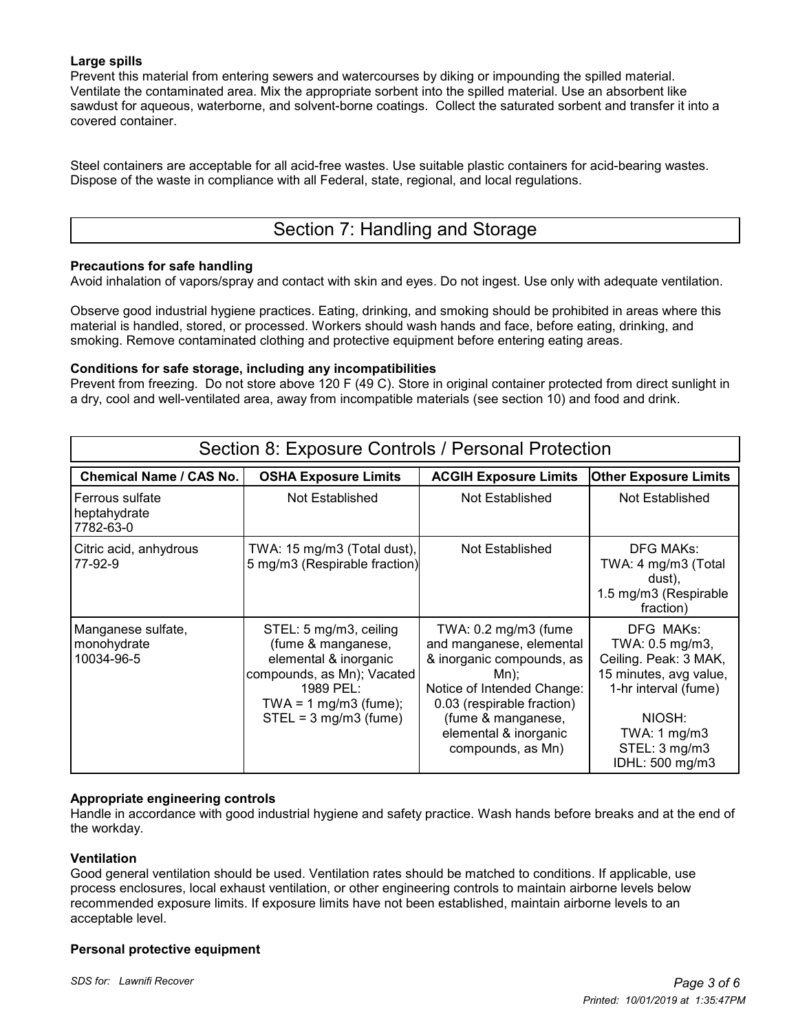## **Large spills**

Prevent this material from entering sewers and watercourses by diking or impounding the spilled material. Ventilate the contaminated area. Mix the appropriate sorbent into the spilled material. Use an absorbent like sawdust for aqueous, waterborne, and solvent-borne coatings. Collect the saturated sorbent and transfer it into a covered container.

Steel containers are acceptable for all acid-free wastes. Use suitable plastic containers for acid-bearing wastes. Dispose of the waste in compliance with all Federal, state, regional, and local regulations.

# Section 7: Handling and Storage

## **Precautions for safe handling**

Avoid inhalation of vapors/spray and contact with skin and eyes. Do not ingest. Use only with adequate ventilation.

Observe good industrial hygiene practices. Eating, drinking, and smoking should be prohibited in areas where this material is handled, stored, or processed. Workers should wash hands and face, before eating, drinking, and smoking. Remove contaminated clothing and protective equipment before entering eating areas.

## **Conditions for safe storage, including any incompatibilities**

Prevent from freezing. Do not store above 120 F (49 C). Store in original container protected from direct sunlight in a dry, cool and well-ventilated area, away from incompatible materials (see section 10) and food and drink.

| Section 8: Exposure Controls / Personal Protection |                                                                                                                                                                                 |                                                                                                                                                                                                                                  |                                                                                                                                                                                  |  |  |  |
|----------------------------------------------------|---------------------------------------------------------------------------------------------------------------------------------------------------------------------------------|----------------------------------------------------------------------------------------------------------------------------------------------------------------------------------------------------------------------------------|----------------------------------------------------------------------------------------------------------------------------------------------------------------------------------|--|--|--|
| <b>Chemical Name / CAS No.</b>                     | <b>OSHA Exposure Limits</b>                                                                                                                                                     | <b>ACGIH Exposure Limits</b>                                                                                                                                                                                                     | <b>Other Exposure Limits</b>                                                                                                                                                     |  |  |  |
| l Ferrous sulfate<br>heptahydrate<br>7782-63-0     | Not Established                                                                                                                                                                 | Not Established                                                                                                                                                                                                                  | Not Established                                                                                                                                                                  |  |  |  |
| Citric acid, anhydrous<br>77-92-9                  | TWA: 15 mg/m3 (Total dust),<br>5 mg/m3 (Respirable fraction)                                                                                                                    | Not Established                                                                                                                                                                                                                  | DFG MAKs:<br>TWA: 4 mg/m3 (Total<br>dust),<br>1.5 mg/m3 (Respirable<br>fraction)                                                                                                 |  |  |  |
| Manganese sulfate,<br>monohydrate<br>10034-96-5    | STEL: 5 mg/m3, ceiling<br>(fume & manganese,<br>elemental & inorganic<br>compounds, as Mn); Vacated<br>1989 PEL:<br>TWA = $1 \text{ mg/m}$ 3 (fume);<br>$STEL = 3 mg/m3$ (fume) | TWA: $0.2 \text{ mg/m}$ 3 (fume<br>and manganese, elemental<br>& inorganic compounds, as<br>Mn);<br>Notice of Intended Change:<br>0.03 (respirable fraction)<br>(fume & manganese,<br>elemental & inorganic<br>compounds, as Mn) | DFG MAKs:<br>TWA: 0.5 mg/m3,<br>Ceiling. Peak: 3 MAK,<br>15 minutes, avg value,<br>1-hr interval (fume)<br>NIOSH:<br>TWA: $1 \text{ mg/m}$ 3<br>STEL: 3 mg/m3<br>IDHL: 500 mg/m3 |  |  |  |

#### **Appropriate engineering controls**

Handle in accordance with good industrial hygiene and safety practice. Wash hands before breaks and at the end of the workday.

#### **Ventilation**

Good general ventilation should be used. Ventilation rates should be matched to conditions. If applicable, use process enclosures, local exhaust ventilation, or other engineering controls to maintain airborne levels below recommended exposure limits. If exposure limits have not been established, maintain airborne levels to an acceptable level.

#### **Personal protective equipment**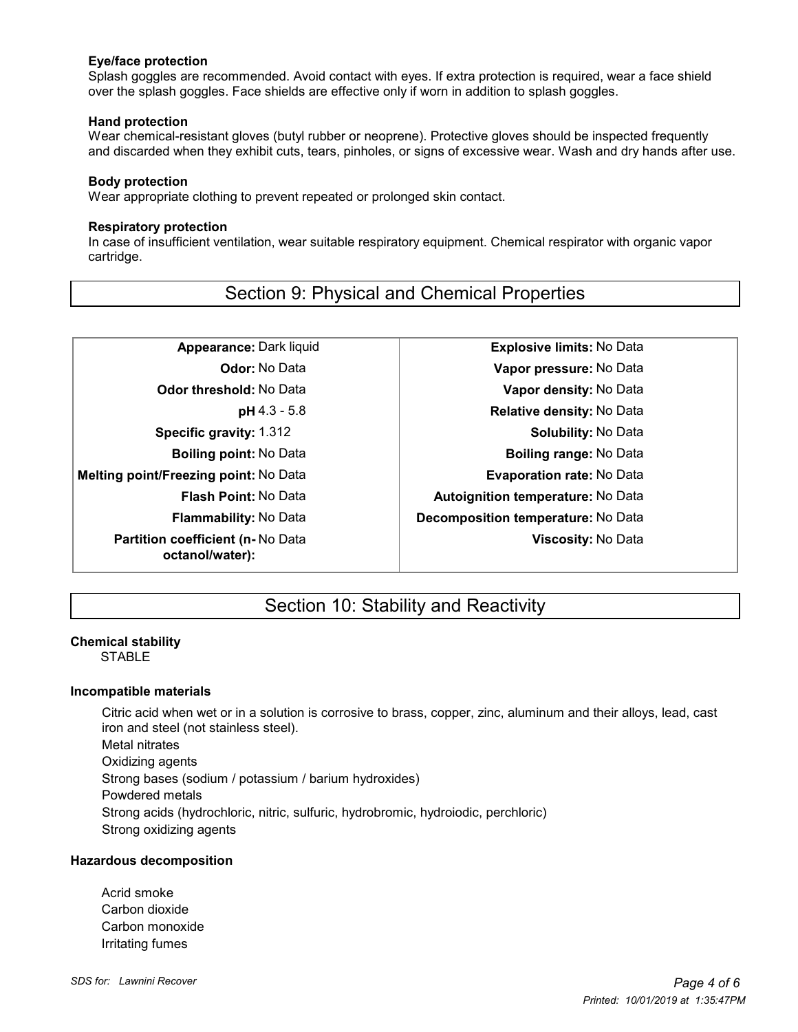#### **Eye/face protection**

 Splash goggles are recommended. Avoid contact with eyes. If extra protection is required, wear a face shield over the splash goggles. Face shields are effective only if worn in addition to splash goggles.

#### **Hand protection**

 Wear chemical-resistant gloves (butyl rubber or neoprene). Protective gloves should be inspected frequently and discarded when they exhibit cuts, tears, pinholes, or signs of excessive wear. Wash and dry hands after use.

#### **Body protection**

Wear appropriate clothing to prevent repeated or prolonged skin contact.

## **Respiratory protection**

 In case of insufficient ventilation, wear suitable respiratory equipment. Chemical respirator with organic vapor cartridge.

## Section 9: Physical and Chemical Properties

**Melting point/Freezing point:** No Data **Evaporation rate:** No Data **Partition coefficient (n-** No Data **octanol/water):**

**Appearance:** Dark liquid **Explosive limits:** No Data **Odor:** No Data **Vapor pressure:** No Data **Odor threshold:** No Data **Vapor density:** No Data **pH** 4.3 - 5.8 **Relative density:** No Data **Specific gravity:** 1.312 **Solubility:** No Data **Boiling point:** No Data **Boiling range:** No Data **Flash Point:** No Data **Autoignition <b>temperature:** No Data **Flammability:** No Data **Decomposition temperature:** No Data **Viscosity:** No Data

# Section 10: Stability and Reactivity

## **Chemical stability**

**STABLE** 

## **Incompatible materials**

Citric acid when wet or in a solution is corrosive to brass, copper, zinc, aluminum and their alloys, lead, cast iron and steel (not stainless steel). Metal nitrates Oxidizing agents Strong bases (sodium / potassium / barium hydroxides) Powdered metals Strong acids (hydrochloric, nitric, sulfuric, hydrobromic, hydroiodic, perchloric) Strong oxidizing agents

## **Hazardous decomposition**

Acrid smoke Carbon dioxide Carbon monoxide Irritating fumes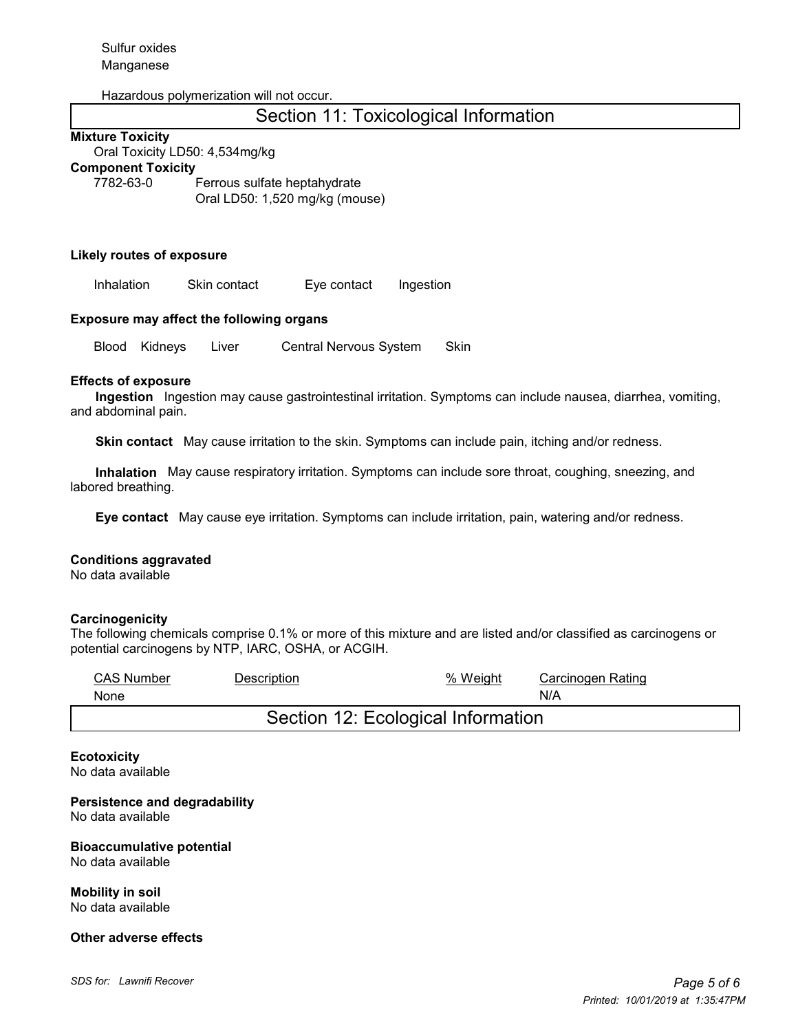#### Hazardous polymerization will not occur.

# Section 11: Toxicological Information

#### **Mixture Toxicity**

Oral Toxicity LD50: 4,534mg/kg

## **Component Toxicity**

7782-63-0 Ferrous sulfate heptahydrate Oral LD50: 1,520 mg/kg (mouse)

#### **Likely routes of exposure**

Inhalation Skin contact Eye contact Ingestion

#### **Exposure may affect the following organs**

Blood Kidneys Liver Central Nervous System Skin

#### **Effects of exposure**

 **Ingestion** Ingestion may cause gastrointestinal irritation. Symptoms can include nausea, diarrhea, vomiting, and abdominal pain.

 **Skin contact** May cause irritation to the skin. Symptoms can include pain, itching and/or redness.

 **Inhalation** May cause respiratory irritation. Symptoms can include sore throat, coughing, sneezing, and labored breathing.

 **Eye contact** May cause eye irritation. Symptoms can include irritation, pain, watering and/or redness.

#### **Conditions aggravated**

No data available

#### **Carcinogenicity**

The following chemicals comprise 0.1% or more of this mixture and are listed and/or classified as carcinogens or potential carcinogens by NTP, IARC, OSHA, or ACGIH.

| <b>CAS Number</b>                  | <b>Description</b> | % Weight | Carcinogen Rating |  |  |  |
|------------------------------------|--------------------|----------|-------------------|--|--|--|
| None                               |                    |          | N/A               |  |  |  |
| Section 12: Ecological Information |                    |          |                   |  |  |  |

**Ecotoxicity** No data available

**Persistence and degradability** No data available

**Bioaccumulative potential** No data available

**Mobility in soil** No data available

#### **Other adverse effects**